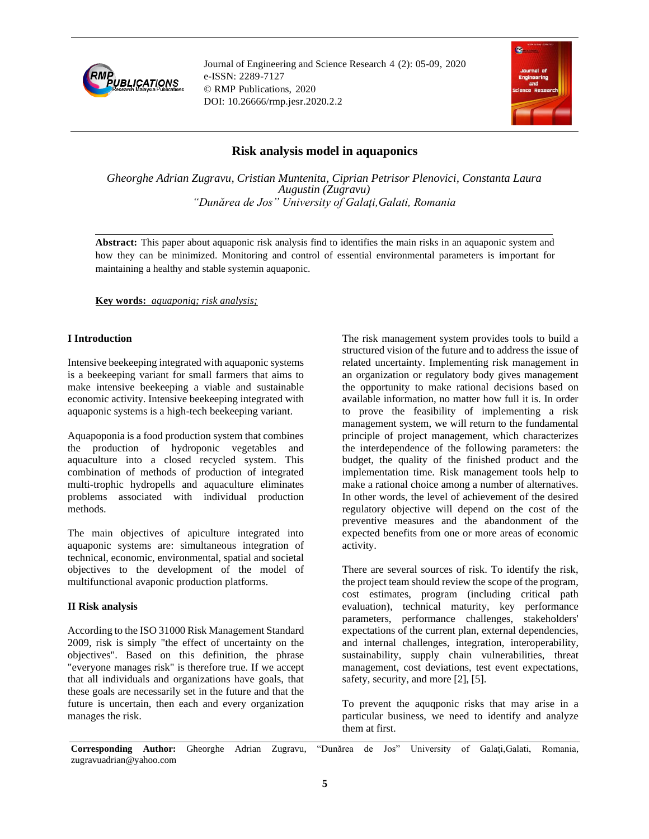

Journal of Engineering and Science Research 4 (2): 05-09, 2020 e-ISSN: 2289-7127 © RMP Publications, 2020 DOI: 10.26666/rmp.jesr.2020.2.2



# **Risk analysis model in aquaponics**

*Gheorghe Adrian Zugravu, Cristian Muntenita, Ciprian Petrisor Plenovici, Constanta Laura Augustin (Zugravu) "Dunărea de Jos" University of Galaţi,Galati, Romania*

**Abstract:** This paper about aquaponic risk analysis find to identifies the main risks in an aquaponic system and how they can be minimized. Monitoring and control of essential environmental parameters is important for maintaining a healthy and stable systemin aquaponic.

**Key words:** *aquaponiq; risk analysis;*

# **I Introduction**

Intensive beekeeping integrated with aquaponic systems is a beekeeping variant for small farmers that aims to make intensive beekeeping a viable and sustainable economic activity. Intensive beekeeping integrated with aquaponic systems is a high-tech beekeeping variant.

Aquapoponia is a food production system that combines the production of hydroponic vegetables and aquaculture into a closed recycled system. This combination of methods of production of integrated multi-trophic hydropells and aquaculture eliminates problems associated with individual production methods.

The main objectives of apiculture integrated into aquaponic systems are: simultaneous integration of technical, economic, environmental, spatial and societal objectives to the development of the model of multifunctional avaponic production platforms.

### **II Risk analysis**

According to the ISO 31000 Risk Management Standard 2009, risk is simply "the effect of uncertainty on the objectives". Based on this definition, the phrase "everyone manages risk" is therefore true. If we accept that all individuals and organizations have goals, that these goals are necessarily set in the future and that the future is uncertain, then each and every organization manages the risk.

The risk management system provides tools to build a structured vision of the future and to address the issue of related uncertainty. Implementing risk management in an organization or regulatory body gives management the opportunity to make rational decisions based on available information, no matter how full it is. In order to prove the feasibility of implementing a risk management system, we will return to the fundamental principle of project management, which characterizes the interdependence of the following parameters: the budget, the quality of the finished product and the implementation time. Risk management tools help to make a rational choice among a number of alternatives. In other words, the level of achievement of the desired regulatory objective will depend on the cost of the preventive measures and the abandonment of the expected benefits from one or more areas of economic activity.

There are several sources of risk. To identify the risk, the project team should review the scope of the program, cost estimates, program (including critical path evaluation), technical maturity, key performance parameters, performance challenges, stakeholders' expectations of the current plan, external dependencies, and internal challenges, integration, interoperability, sustainability, supply chain vulnerabilities, threat management, cost deviations, test event expectations, safety, security, and more [2], [5].

To prevent the aquqponic risks that may arise in a particular business, we need to identify and analyze them at first.

**Corresponding Author:** Gheorghe Adrian Zugravu, "Dunărea de Jos" University of Galaţi,Galati, Romania, zugravuadrian@yahoo.com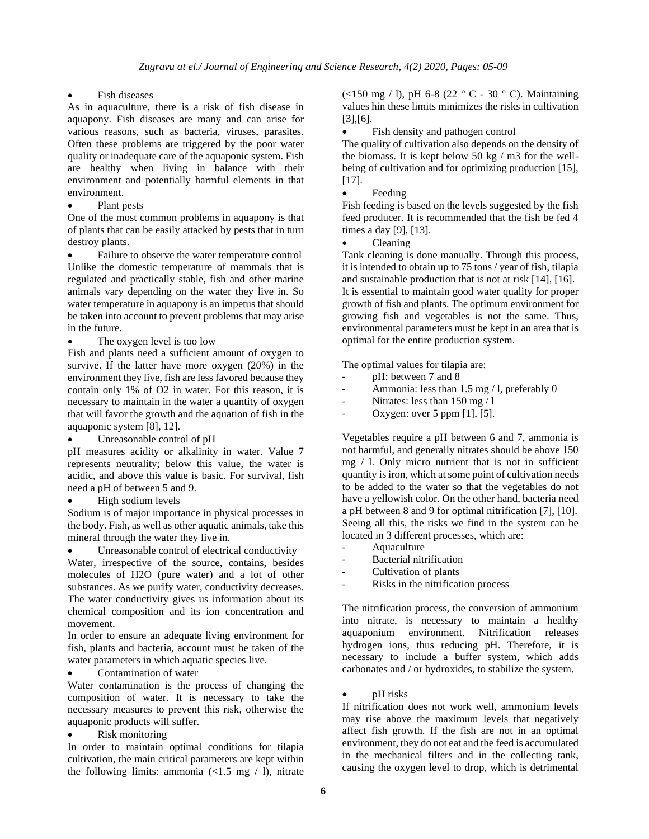Fish diseases

As in aquaculture, there is a risk of fish disease in aquapony. Fish diseases are many and can arise for various reasons, such as bacteria, viruses, parasites. Often these problems are triggered by the poor water quality or inadequate care of the aquaponic system. Fish are healthy when living in balance with their environment and potentially harmful elements in that environment.

Plant pests

One of the most common problems in aquapony is that of plants that can be easily attacked by pests that in turn destroy plants.

Failure to observe the water temperature control Unlike the domestic temperature of mammals that is regulated and practically stable, fish and other marine animals vary depending on the water they live in. So water temperature in aquapony is an impetus that should be taken into account to prevent problems that may arise in the future.

The oxygen level is too low

Fish and plants need a sufficient amount of oxygen to survive. If the latter have more oxygen (20%) in the environment they live, fish are less favored because they contain only 1% of O2 in water. For this reason, it is necessary to maintain in the water a quantity of oxygen that will favor the growth and the aquation of fish in the aquaponic system [8], 12].

• Unreasonable control of pH

pH measures acidity or alkalinity in water. Value 7 represents neutrality; below this value, the water is acidic, and above this value is basic. For survival, fish need a pH of between 5 and 9.

• High sodium levels

Sodium is of major importance in physical processes in the body. Fish, as well as other aquatic animals, take this mineral through the water they live in.

Unreasonable control of electrical conductivity

Water, irrespective of the source, contains, besides molecules of H2O (pure water) and a lot of other substances. As we purify water, conductivity decreases. The water conductivity gives us information about its chemical composition and its ion concentration and movement.

In order to ensure an adequate living environment for fish, plants and bacteria, account must be taken of the water parameters in which aquatic species live.

• Contamination of water

Water contamination is the process of changing the composition of water. It is necessary to take the necessary measures to prevent this risk, otherwise the aquaponic products will suffer.

• Risk monitoring

In order to maintain optimal conditions for tilapia cultivation, the main critical parameters are kept within the following limits: ammonia  $\left($ <1.5 mg  $\right/$  1), nitrate

(<150 mg / l), pH 6-8 (22  $\degree$  C - 30  $\degree$  C). Maintaining values hin these limits minimizes the risks in cultivation [3],[6].

Fish density and pathogen control

The quality of cultivation also depends on the density of the biomass. It is kept below 50 kg  $/$  m3 for the wellbeing of cultivation and for optimizing production [15], [17].

### • Feeding

Fish feeding is based on the levels suggested by the fish feed producer. It is recommended that the fish be fed 4 times a day [9], [13].

• Cleaning

Tank cleaning is done manually. Through this process, it is intended to obtain up to 75 tons / year of fish, tilapia and sustainable production that is not at risk [14], [16]. It is essential to maintain good water quality for proper growth of fish and plants. The optimum environment for growing fish and vegetables is not the same. Thus, environmental parameters must be kept in an area that is optimal for the entire production system.

The optimal values for tilapia are:

- pH: between 7 and 8
- Ammonia: less than  $1.5$  mg  $/1$ , preferably 0
- Nitrates: less than  $150$  mg  $/1$
- Oxygen: over 5 ppm [1], [5].

Vegetables require a pH between 6 and 7, ammonia is not harmful, and generally nitrates should be above 150 mg / l. Only micro nutrient that is not in sufficient quantity is iron, which at some point of cultivation needs to be added to the water so that the vegetables do not have a yellowish color. On the other hand, bacteria need a pH between 8 and 9 for optimal nitrification [7], [10]. Seeing all this, the risks we find in the system can be located in 3 different processes, which are:

- **Aquaculture**
- Bacterial nitrification
- Cultivation of plants
- Risks in the nitrification process

The nitrification process, the conversion of ammonium into nitrate, is necessary to maintain a healthy aquaponium environment. Nitrification releases hydrogen ions, thus reducing pH. Therefore, it is necessary to include a buffer system, which adds carbonates and / or hydroxides, to stabilize the system.

• pH risks

If nitrification does not work well, ammonium levels may rise above the maximum levels that negatively affect fish growth. If the fish are not in an optimal environment, they do not eat and the feed is accumulated in the mechanical filters and in the collecting tank, causing the oxygen level to drop, which is detrimental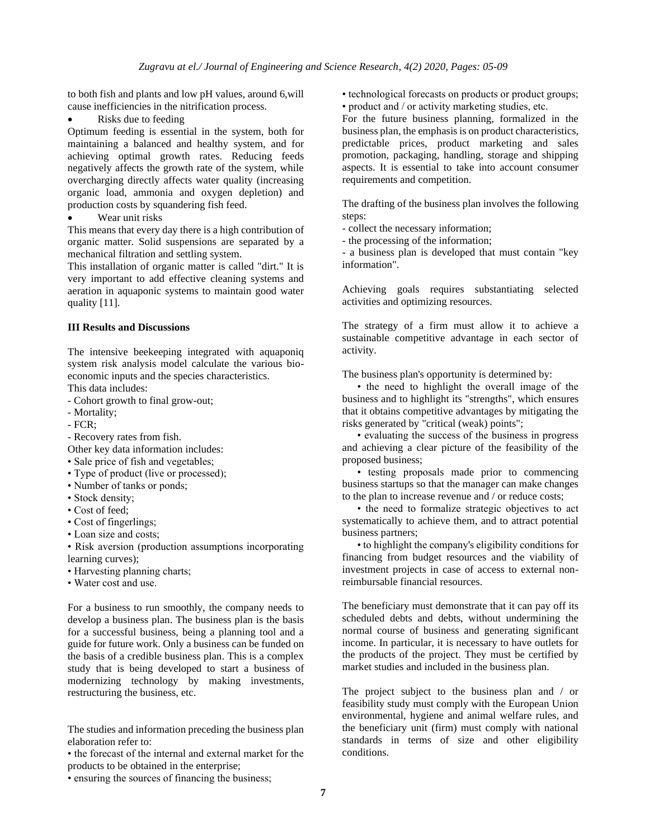to both fish and plants and low pH values, around 6,will cause inefficiencies in the nitrification process.

• Risks due to feeding

Optimum feeding is essential in the system, both for maintaining a balanced and healthy system, and for achieving optimal growth rates. Reducing feeds negatively affects the growth rate of the system, while overcharging directly affects water quality (increasing organic load, ammonia and oxygen depletion) and production costs by squandering fish feed.

#### Wear unit risks

This means that every day there is a high contribution of organic matter. Solid suspensions are separated by a mechanical filtration and settling system.

This installation of organic matter is called "dirt." It is very important to add effective cleaning systems and aeration in aquaponic systems to maintain good water quality [11].

#### **III Results and Discussions**

The intensive beekeeping integrated with aquaponiq system risk analysis model calculate the various bioeconomic inputs and the species characteristics. This data includes:

- Cohort growth to final grow-out;
- Mortality;
- FCR;
- Recovery rates from fish.
- Other key data information includes:
- Sale price of fish and vegetables;
- Type of product (live or processed);
- Number of tanks or ponds;
- Stock density;
- Cost of feed;
- Cost of fingerlings;
- Loan size and costs;
- Risk aversion (production assumptions incorporating learning curves);
- Harvesting planning charts;
- Water cost and use

For a business to run smoothly, the company needs to develop a business plan. The business plan is the basis for a successful business, being a planning tool and a guide for future work. Only a business can be funded on the basis of a credible business plan. This is a complex study that is being developed to start a business of modernizing technology by making investments, restructuring the business, etc.

The studies and information preceding the business plan elaboration refer to:

• the forecast of the internal and external market for the products to be obtained in the enterprise;

• technological forecasts on products or product groups; • product and / or activity marketing studies, etc.

For the future business planning, formalized in the business plan, the emphasis is on product characteristics, predictable prices, product marketing and sales promotion, packaging, handling, storage and shipping aspects. It is essential to take into account consumer requirements and competition.

The drafting of the business plan involves the following steps:

- collect the necessary information;
- the processing of the information;

- a business plan is developed that must contain "key information".

Achieving goals requires substantiating selected activities and optimizing resources.

The strategy of a firm must allow it to achieve a sustainable competitive advantage in each sector of activity.

The business plan's opportunity is determined by:

• the need to highlight the overall image of the business and to highlight its "strengths", which ensures that it obtains competitive advantages by mitigating the risks generated by "critical (weak) points";

• evaluating the success of the business in progress and achieving a clear picture of the feasibility of the proposed business;

• testing proposals made prior to commencing business startups so that the manager can make changes to the plan to increase revenue and / or reduce costs;

• the need to formalize strategic objectives to act systematically to achieve them, and to attract potential business partners;

• to highlight the company's eligibility conditions for financing from budget resources and the viability of investment projects in case of access to external nonreimbursable financial resources.

The beneficiary must demonstrate that it can pay off its scheduled debts and debts, without undermining the normal course of business and generating significant income. In particular, it is necessary to have outlets for the products of the project. They must be certified by market studies and included in the business plan.

The project subject to the business plan and / or feasibility study must comply with the European Union environmental, hygiene and animal welfare rules, and the beneficiary unit (firm) must comply with national standards in terms of size and other eligibility conditions.

• ensuring the sources of financing the business;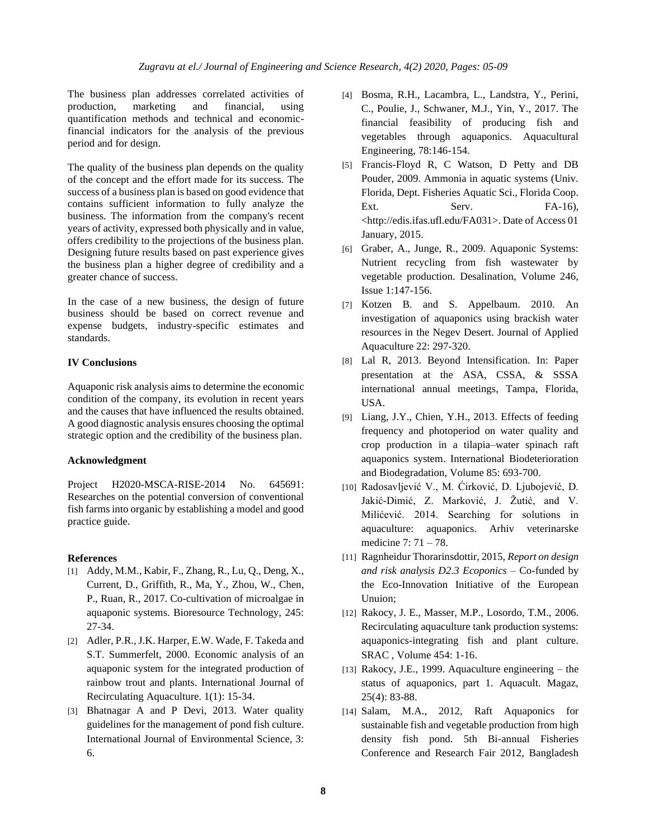The business plan addresses correlated activities of production, marketing and financial, using quantification methods and technical and economicfinancial indicators for the analysis of the previous period and for design.

The quality of the business plan depends on the quality of the concept and the effort made for its success. The success of a business plan is based on good evidence that contains sufficient information to fully analyze the business. The information from the company's recent years of activity, expressed both physically and in value, offers credibility to the projections of the business plan. Designing future results based on past experience gives the business plan a higher degree of credibility and a greater chance of success.

In the case of a new business, the design of future business should be based on correct revenue and expense budgets, industry-specific estimates and standards.

# **IV Conclusions**

Aquaponic risk analysis aims to determine the economic condition of the company, its evolution in recent years and the causes that have influenced the results obtained. A good diagnostic analysis ensures choosing the optimal strategic option and the credibility of the business plan.

# **Acknowledgment**

Project H2020-MSCA-RISE-2014 No. 645691: Researches on the potential conversion of conventional fish farms into organic by establishing a model and good practice guide.

### **References**

- [1] Addy, M.M., Kabir, F., Zhang, R., Lu, Q., Deng, X., Current, D., Griffith, R., Ma, Y., Zhou, W., Chen, P., Ruan, R., 2017. Co-cultivation of microalgae in aquaponic systems. Bioresource Technology, 245: 27-34.
- [2] Adler, P.R., J.K. Harper, E.W. Wade, F. Takeda and S.T. Summerfelt, 2000. Economic analysis of an aquaponic system for the integrated production of rainbow trout and plants. International Journal of Recirculating Aquaculture. 1(1): 15-34.
- [3] Bhatnagar A and P Devi, 2013. Water quality guidelines for the management of pond fish culture. International Journal of Environmental Science, 3: 6.
- [4] Bosma, R.H., Lacambra, L., Landstra, Y., Perini, C., Poulie, J., Schwaner, M.J., Yin, Y., 2017. The financial feasibility of producing fish and vegetables through aquaponics. Aquacultural Engineering, 78:146-154.
- [5] Francis-Floyd R, C Watson, D Petty and DB Pouder, 2009. Ammonia in aquatic systems (Univ. Florida, Dept. Fisheries Aquatic Sci., Florida Coop. Ext. Serv. FA-16), <http://edis.ifas.ufl.edu/FA031>. Date of Access 01 January, 2015.
- [6] Graber, A., Junge, R., 2009. Aquaponic Systems: Nutrient recycling from fish wastewater by vegetable production. Desalination, Volume 246, Issue 1:147-156.
- [7] Kotzen B. and S. Appelbaum. 2010. An investigation of aquaponics using brackish water resources in the Negev Desert. Journal of Applied Aquaculture 22: 297-320.
- [8] Lal R, 2013. Beyond Intensification. In: Paper presentation at the ASA, CSSA, & SSSA international annual meetings, Tampa, Florida, USA.
- [9] Liang, J.Y., Chien, Y.H., 2013. Effects of feeding frequency and photoperiod on water quality and crop production in a tilapia–water spinach raft aquaponics system. International Biodeterioration and Biodegradation, Volume 85: 693-700.
- [10] Radosavljević V., M. Ćirković, D. Ljubojević, D. Jakić-Dimić, Z. Marković, J. Žutić, and V. Milićević. 2014. Searching for solutions in aquaculture: aquaponics. Arhiv veterinarske medicine 7: 71 – 78.
- [11] Ragnheidur Thorarinsdottir, 2015, *Report on design and risk analysis D2.3 Ecoponics –* Co-funded by the Eco-Innovation Initiative of the European Unuion;
- [12] Rakocy, J. E., Masser, M.P., Losordo, T.M., 2006. Recirculating aquaculture tank production systems: aquaponics-integrating fish and plant culture. SRAC , Volume 454: 1-16.
- [13] Rakocy, J.E., 1999. Aquaculture engineering the status of aquaponics, part 1. Aquacult. Magaz, 25(4): 83-88.
- [14] Salam, M.A., 2012, Raft Aquaponics for sustainable fish and vegetable production from high density fish pond. 5th Bi-annual Fisheries Conference and Research Fair 2012, Bangladesh